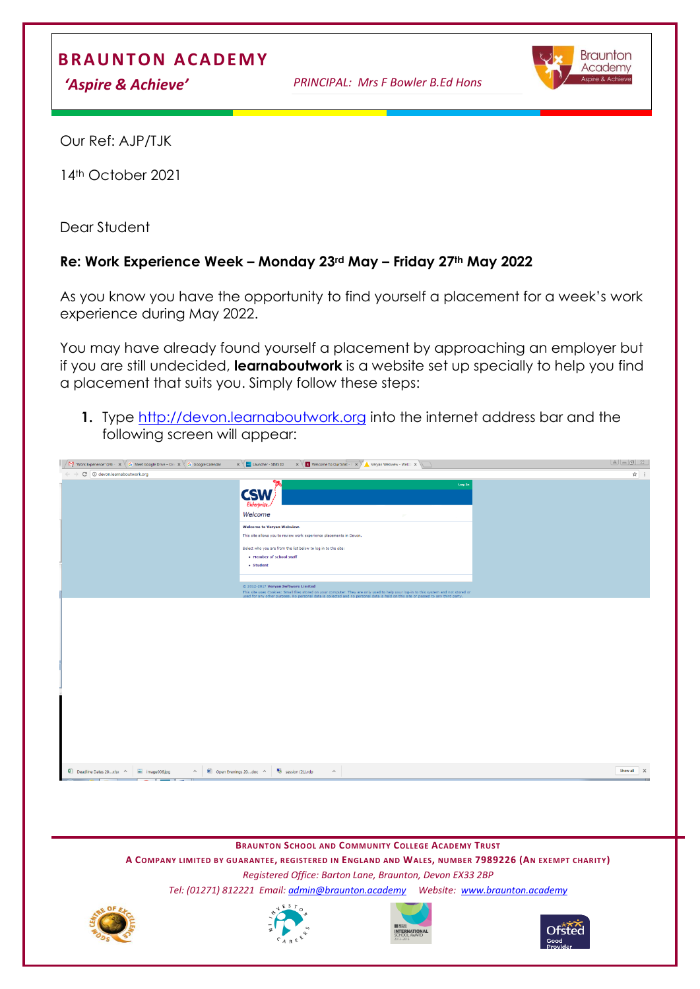## **B R A U N T ON A CA D E M Y**

*'Aspire & Achieve' PRINCIPAL: Mrs F Bowler B.Ed Hons*



Our Ref: AJP/TJK

14th October 2021

Dear Student

## **Re: Work Experience Week – Monday 23rd May – Friday 27th May 2022**

As you know you have the opportunity to find yourself a placement for a week's work experience during May 2022.

You may have already found yourself a placement by approaching an employer but if you are still undecided, **learnaboutwork** is a website set up specially to help you find a placement that suits you. Simply follow these steps:

**1.** Type [http://devon.learnaboutwork.org](http://devon.learnaboutwork.org/) into the internet address bar and the following screen will appear:

| $\sqrt{N_1}$ "Work Experience" (74) $\cdot \times \sqrt{G}$ Meet Google Drive – On: $\times \sqrt{G}$ Google Calendar | $\times \sqrt{\Box}$ Launcher - SIMS ID<br>$\mathbf{x} \times \mathbf{B}$ Welcome To Our Sitel - $\mathbf{B} \times \mathbf{B}$ Veryan Webview - Welco $\mathbf{x}$                                                                                                      |                    |
|-----------------------------------------------------------------------------------------------------------------------|--------------------------------------------------------------------------------------------------------------------------------------------------------------------------------------------------------------------------------------------------------------------------|--------------------|
| $\leftarrow$ $\rightarrow$ C $\circ$ O devon.learnaboutwork.org                                                       |                                                                                                                                                                                                                                                                          | $\dot{\mathbf{x}}$ |
|                                                                                                                       | Log In<br><b>CSW</b><br>Enterprise.<br>Welcome<br>$\mathcal{D}^{\mu\nu}$                                                                                                                                                                                                 |                    |
|                                                                                                                       | <b>Welcome to Veryan Webview.</b>                                                                                                                                                                                                                                        |                    |
|                                                                                                                       | This site allows you to review work experience placements in Devon.                                                                                                                                                                                                      |                    |
|                                                                                                                       | Select who you are from the list below to log in to the site:                                                                                                                                                                                                            |                    |
|                                                                                                                       | • Member of school staff                                                                                                                                                                                                                                                 |                    |
|                                                                                                                       | - Student                                                                                                                                                                                                                                                                |                    |
|                                                                                                                       |                                                                                                                                                                                                                                                                          |                    |
|                                                                                                                       | © 2012-2017 Veryan Software Limited<br>This site uses Cookies: Small files stored on your computer. They are only used to help your log-in to this system and not stored or<br>used for any other purpose. No personal data is collected and no personal data is held on |                    |
|                                                                                                                       |                                                                                                                                                                                                                                                                          |                    |
|                                                                                                                       |                                                                                                                                                                                                                                                                          |                    |

**BRAUNTON SCHOOL AND COMMUNITY COLLEGE ACADEMY TRUST**

**A COMPANY LIMITED BY GUARANTEE, REGISTERED IN ENGLAND AND WALES, NUMBER 7989226 (AN EXEMPT CHARITY)** *Registered Office: Barton Lane, Braunton, Devon EX33 2BP Tel: (01271) 812221 Email[: admin@braunton.academy](mailto:admin@braunton.academy) Website: [www.braunton.academy](http://www.braunton./)*







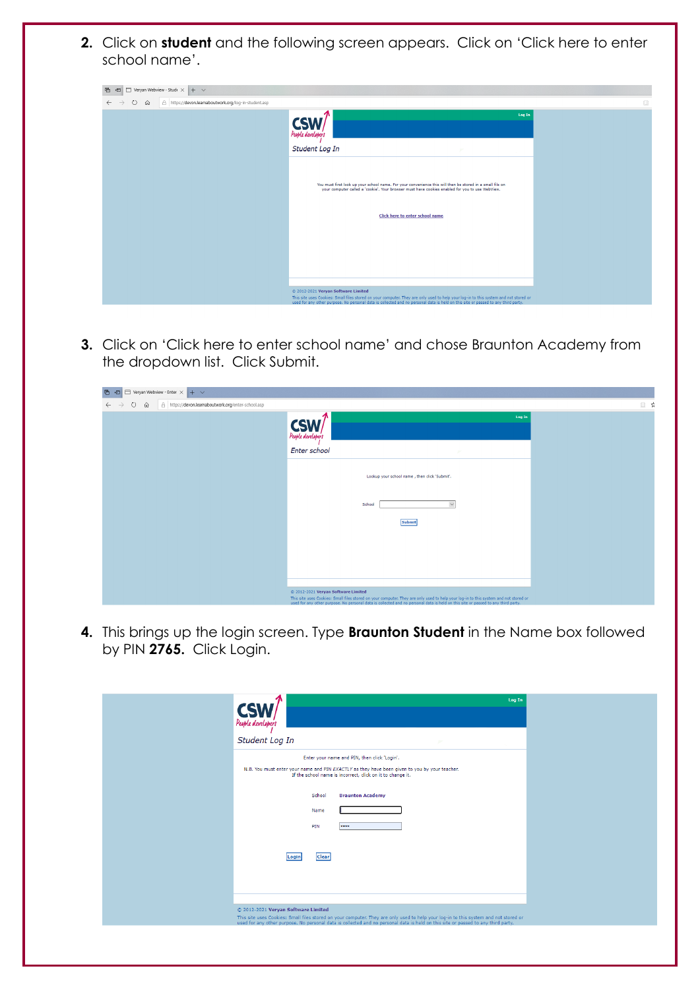**2.** Click on **student** and the following screen appears. Click on 'Click here to enter school name'.

| Veryan Webview - Stude $\times$ + $\sim$<br>后<br>一                            |                                                                                                                                                                                                                                                                                                                  |   |
|-------------------------------------------------------------------------------|------------------------------------------------------------------------------------------------------------------------------------------------------------------------------------------------------------------------------------------------------------------------------------------------------------------|---|
| https://devon.learnaboutwork.org/log-in-student.asp<br>Ü<br>$\leftarrow$<br>⋒ |                                                                                                                                                                                                                                                                                                                  | m |
|                                                                               | Log In<br><b>CSW</b><br>Student Log In<br>$\overline{p}$                                                                                                                                                                                                                                                         |   |
|                                                                               | You must first look up your school name. For your convenience this will then be stored in a small file on<br>your computer called a 'cookie'. Your browser must have cookies enabled for you to use WebView.                                                                                                     |   |
|                                                                               | <b>Click here to enter school name</b>                                                                                                                                                                                                                                                                           |   |
|                                                                               |                                                                                                                                                                                                                                                                                                                  |   |
|                                                                               | © 2012-2021 Veryan Software Limited<br>This site uses Cookies: Small files stored on your computer. They are only used to help your log-in to this system and not stored or<br>used for any other purpose. No personal data is collected and no personal data is held on this site or passed to any third party. |   |

**3.** Click on 'Click here to enter school name' and chose Braunton Academy from the dropdown list. Click Submit.

| Veryan Webview - Enter X<br>后<br>⊟<br>$+$ $\vee$<br>一個                                         |                                                                                                                                                                                                                                                                           |     |
|------------------------------------------------------------------------------------------------|---------------------------------------------------------------------------------------------------------------------------------------------------------------------------------------------------------------------------------------------------------------------------|-----|
| A https://devon.learnaboutwork.org/enter-school.asp<br>↻<br>仚<br>$\rightarrow$<br>$\leftarrow$ |                                                                                                                                                                                                                                                                           | □ ☆ |
|                                                                                                | 个<br>Log In<br><b>CSW</b>                                                                                                                                                                                                                                                 |     |
|                                                                                                | Enter school                                                                                                                                                                                                                                                              |     |
|                                                                                                |                                                                                                                                                                                                                                                                           |     |
|                                                                                                | Lookup your school name, then click 'Submit'.                                                                                                                                                                                                                             |     |
|                                                                                                |                                                                                                                                                                                                                                                                           |     |
|                                                                                                | $\small\lor$<br>School                                                                                                                                                                                                                                                    |     |
|                                                                                                | Submit                                                                                                                                                                                                                                                                    |     |
|                                                                                                |                                                                                                                                                                                                                                                                           |     |
|                                                                                                |                                                                                                                                                                                                                                                                           |     |
|                                                                                                |                                                                                                                                                                                                                                                                           |     |
|                                                                                                |                                                                                                                                                                                                                                                                           |     |
|                                                                                                | @ 2012-2021 Veryan Software Limited                                                                                                                                                                                                                                       |     |
|                                                                                                | This site uses Cookies: Small files stored on your computer. They are only used to help your log-in to this system and not stored or<br>used for any other purpose. No personal data is collected and no personal data is held on this site or passed to any third party. |     |

**4.** This brings up the login screen. Type **Braunton Student** in the Name box followed by PIN **2765.** Click Login.

| <b>CSV</b><br>People developers     |                                                                                                                                                                                                                                   | Log In |
|-------------------------------------|-----------------------------------------------------------------------------------------------------------------------------------------------------------------------------------------------------------------------------------|--------|
| Student Log In                      |                                                                                                                                                                                                                                   |        |
|                                     | Enter your name and PIN, then click 'Login'.<br>N.B. You must enter your name and PIN EXACTLY as they have been given to you by your teacher.<br>If the school name is incorrect, click on it to change it.                       |        |
| School                              | <b>Braunton Academy</b>                                                                                                                                                                                                           |        |
| Name                                |                                                                                                                                                                                                                                   |        |
| PIN                                 |                                                                                                                                                                                                                                   |        |
| <b>Clear</b><br>Login               |                                                                                                                                                                                                                                   |        |
|                                     |                                                                                                                                                                                                                                   |        |
| © 2012-2021 Veryan Software Limited | This site uses Cookies: Small files stored on your computer. They are only used to help your log-in to this system and not stored or<br>used for any other purpose. No personal data is collected and no personal data is held on |        |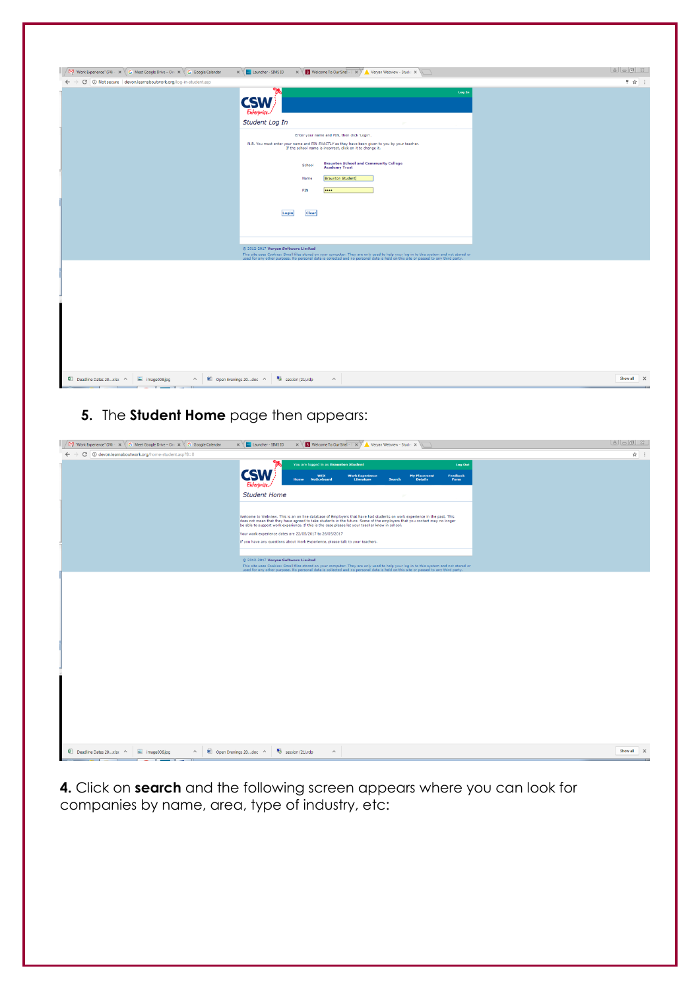| $\sqrt{N_1^4}$ "Work Experience" (74) $\cdot \cdot \times \cdot \cdot \cdot$ Meet Google Drive – On $\cdot \cdot \cdot \cdot \cdot \cdot \cdot \cdot \cdot \cdot \cdot \cdot$ G Google Calendar<br>$\leftarrow$ $\rightarrow$ $\left  \mathbb{G}\right $ (ii) Not secure   devon.learnaboutwork.org/log-in-student.asp | $\times \sqrt{\Box}$ Launcher - SIMS ID<br>$\mathbf{x} \times \mathbf{B}$ Welcome To Our Site! $\mathbf{B} \times \mathbf{B}$ Veryan Webview - Stude: $\mathbf{x}$                                                                                                       | ♥ ☆ :                    |
|------------------------------------------------------------------------------------------------------------------------------------------------------------------------------------------------------------------------------------------------------------------------------------------------------------------------|--------------------------------------------------------------------------------------------------------------------------------------------------------------------------------------------------------------------------------------------------------------------------|--------------------------|
|                                                                                                                                                                                                                                                                                                                        | Log In<br><b>CSW</b><br>Enterprise.<br>Student Log In<br>$\sim$                                                                                                                                                                                                          |                          |
|                                                                                                                                                                                                                                                                                                                        | Enter your name and PIN, then click 'Login'.<br>N.B. You must enter your name and PIN EXACTLY as they have been given to you by your teacher.<br>If the school name is incorrect, click on it to change it.                                                              |                          |
|                                                                                                                                                                                                                                                                                                                        | <b>Braunton School and Community College</b><br>School<br><b>Academy Trust</b><br><b>Braunton Student</b><br>Name<br>PIN<br>                                                                                                                                             |                          |
|                                                                                                                                                                                                                                                                                                                        | Clear<br>Login                                                                                                                                                                                                                                                           |                          |
|                                                                                                                                                                                                                                                                                                                        | @ 2012-2017 Veryan Software Limited<br>This site uses Cookies: Small files stored on your computer. They are only used to help your log-in to this system and not stored or<br>used for any other purpose. No personal data is collected and no personal data is held on |                          |
|                                                                                                                                                                                                                                                                                                                        |                                                                                                                                                                                                                                                                          |                          |
|                                                                                                                                                                                                                                                                                                                        |                                                                                                                                                                                                                                                                          |                          |
|                                                                                                                                                                                                                                                                                                                        |                                                                                                                                                                                                                                                                          |                          |
|                                                                                                                                                                                                                                                                                                                        |                                                                                                                                                                                                                                                                          |                          |
| Deadline Dates 20  xlsx ^<br>image006.jpg<br>$\widehat{\phantom{a}}$                                                                                                                                                                                                                                                   | Open Evenings 20doc ^ 5 session (21) rdp<br>$\widehat{\phantom{a}}$                                                                                                                                                                                                      | Show all<br>$\mathsf{X}$ |

## **5.** The **Student Home** page then appears:

| $\sqrt{M}$ "Work Experience" (74) $\cdot \times \sqrt{G}$ Meet Google Drive – On: $\times \sqrt{G}$ Google Calendar | $\mathbf{x} \times \mathbf{B}$ Welcome To Our Site $\mathbf{B} \times \mathbf{B}$ Veryan Webview - Stude: $\mathbf{x}$<br>$\times$ $\times$ Launcher - SIMS ID                                                                                                                                                                                                                                                                                                                                       |                |
|---------------------------------------------------------------------------------------------------------------------|------------------------------------------------------------------------------------------------------------------------------------------------------------------------------------------------------------------------------------------------------------------------------------------------------------------------------------------------------------------------------------------------------------------------------------------------------------------------------------------------------|----------------|
| $\leftarrow$ $\rightarrow$ C $\circ$ O devon.learnaboutwork.org/home-student.asp?B=0                                |                                                                                                                                                                                                                                                                                                                                                                                                                                                                                                      | $\frac{1}{24}$ |
|                                                                                                                     | You are logged in as Braunton Student<br><b>Log Out</b><br><b>CSW</b><br><b>Work Experience</b><br>Literature<br>My Placement<br>Details<br>Feedback<br><b>WEX</b><br><b>Noticeboard</b><br>Form<br><b>Search</b><br>Home<br>Enterprise.<br><b>Student Home</b>                                                                                                                                                                                                                                      |                |
|                                                                                                                     | Welcome to Webview. This is an on line database of Employers that have had students on work experience in the past. This<br>does not mean that they have agreed to take students in the future. Some of the employers that you contact may no longer<br>be able to support work experience. If this is the case please let your teacher know in school.<br>Your work experience dates are 22/05/2017 to 26/05/2017<br>If you have any questions about Work Experience, please talk to your teachers. |                |
|                                                                                                                     | @ 2012-2017 Veryan Software Limited                                                                                                                                                                                                                                                                                                                                                                                                                                                                  |                |
|                                                                                                                     | This site uses Cookies: Small files stored on your computer. They are only used to help your log-in to this system and not stored or<br>used for any other purpose. No personal data is collected and no personal data is held on                                                                                                                                                                                                                                                                    |                |
|                                                                                                                     |                                                                                                                                                                                                                                                                                                                                                                                                                                                                                                      |                |
|                                                                                                                     |                                                                                                                                                                                                                                                                                                                                                                                                                                                                                                      |                |
| Deadline Dates 20xlsx ^<br>$\equiv$ image006.jpg<br>$\hat{\phantom{a}}$                                             | session (21).rdp<br>Open Evenings 20  doc ^<br>$\widehat{\phantom{a}}$                                                                                                                                                                                                                                                                                                                                                                                                                               | Show all X     |

**4.** Click on **search** and the following screen appears where you can look for companies by name, area, type of industry, etc: